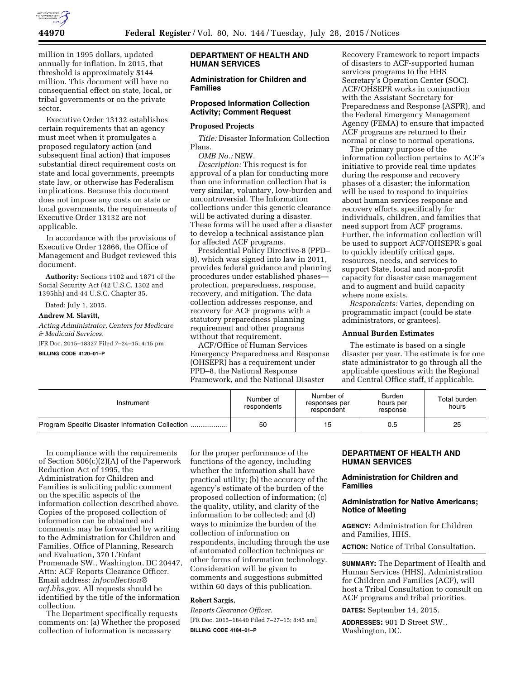

million in 1995 dollars, updated annually for inflation. In 2015, that threshold is approximately \$144 million. This document will have no consequential effect on state, local, or tribal governments or on the private sector.

Executive Order 13132 establishes certain requirements that an agency must meet when it promulgates a proposed regulatory action (and subsequent final action) that imposes substantial direct requirement costs on state and local governments, preempts state law, or otherwise has Federalism implications. Because this document does not impose any costs on state or local governments, the requirements of Executive Order 13132 are not applicable.

In accordance with the provisions of Executive Order 12866, the Office of Management and Budget reviewed this document.

**Authority:** Sections 1102 and 1871 of the Social Security Act (42 U.S.C. 1302 and 1395hh) and 44 U.S.C. Chapter 35.

Dated: July 1, 2015.

# **Andrew M. Slavitt,**

*Acting Administrator, Centers for Medicare & Medicaid Services.* 

[FR Doc. 2015–18327 Filed 7–24–15; 4:15 pm]

## **BILLING CODE 4120–01–P**

### **DEPARTMENT OF HEALTH AND HUMAN SERVICES**

### **Administration for Children and Families**

### **Proposed Information Collection Activity; Comment Request**

#### **Proposed Projects**

*Title:* Disaster Information Collection Plans.

*OMB No.:* NEW.

*Description:* This request is for approval of a plan for conducting more than one information collection that is very similar, voluntary, low-burden and uncontroversial. The Information collections under this generic clearance will be activated during a disaster. These forms will be used after a disaster to develop a technical assistance plan for affected ACF programs.

Presidential Policy Directive-8 (PPD– 8), which was signed into law in 2011, provides federal guidance and planning procedures under established phases protection, preparedness, response, recovery, and mitigation. The data collection addresses response, and recovery for ACF programs with a statutory preparedness planning requirement and other programs without that requirement.

ACF/Office of Human Services Emergency Preparedness and Response (OHSEPR) has a requirement under PPD–8, the National Response Framework, and the National Disaster

Recovery Framework to report impacts of disasters to ACF-supported human services programs to the HHS Secretary's Operation Center (SOC). ACF/OHSEPR works in conjunction with the Assistant Secretary for Preparedness and Response (ASPR), and the Federal Emergency Management Agency (FEMA) to ensure that impacted ACF programs are returned to their normal or close to normal operations.

The primary purpose of the information collection pertains to ACF's initiative to provide real time updates during the response and recovery phases of a disaster; the information will be used to respond to inquiries about human services response and recovery efforts, specifically for individuals, children, and families that need support from ACF programs. Further, the information collection will be used to support ACF/OHSEPR's goal to quickly identify critical gaps, resources, needs, and services to support State, local and non-profit capacity for disaster case management and to augment and build capacity where none exists.

*Respondents:* Varies, depending on programmatic impact (could be state administrators, or grantees).

#### **Annual Burden Estimates**

The estimate is based on a single disaster per year. The estimate is for one state administrator to go through all the applicable questions with the Regional and Central Office staff, if applicable.

| Instrument | Number of<br>respondents | Number of<br>responses per<br>respondent | <b>Burden</b><br>hours per<br>response | Total burden<br>hours |
|------------|--------------------------|------------------------------------------|----------------------------------------|-----------------------|
|            | 50                       | 15                                       | 0.5                                    | 25                    |

In compliance with the requirements of Section 506(c)(2)(A) of the Paperwork Reduction Act of 1995, the Administration for Children and Families is soliciting public comment on the specific aspects of the information collection described above. Copies of the proposed collection of information can be obtained and comments may be forwarded by writing to the Administration for Children and Families, Office of Planning, Research and Evaluation, 370 L'Enfant Promenade SW., Washington, DC 20447, Attn: ACF Reports Clearance Officer. Email address: *[infocollection@](mailto:infocollection@acf.hhs.gov) [acf.hhs.gov.](mailto:infocollection@acf.hhs.gov)* All requests should be identified by the title of the information collection.

The Department specifically requests comments on: (a) Whether the proposed collection of information is necessary

for the proper performance of the functions of the agency, including whether the information shall have practical utility; (b) the accuracy of the agency's estimate of the burden of the proposed collection of information; (c) the quality, utility, and clarity of the information to be collected; and (d) ways to minimize the burden of the collection of information on respondents, including through the use of automated collection techniques or other forms of information technology. Consideration will be given to comments and suggestions submitted within 60 days of this publication.

# **Robert Sargis,**

*Reports Clearance Officer.*  [FR Doc. 2015–18440 Filed 7–27–15; 8:45 am] **BILLING CODE 4184–01–P** 

#### **DEPARTMENT OF HEALTH AND HUMAN SERVICES**

# **Administration for Children and Families**

### **Administration for Native Americans; Notice of Meeting**

**AGENCY:** Administration for Children and Families, HHS.

**ACTION:** Notice of Tribal Consultation.

**SUMMARY:** The Department of Health and Human Services (HHS), Administration for Children and Families (ACF), will host a Tribal Consultation to consult on ACF programs and tribal priorities.

**DATES:** September 14, 2015.

**ADDRESSES:** 901 D Street SW., Washington, DC.